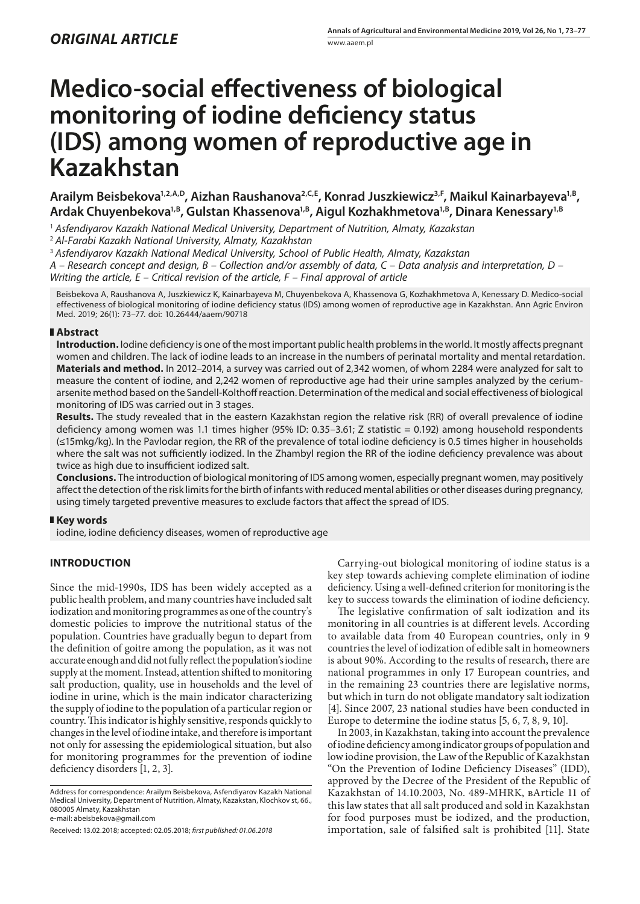# **Medico-social effectiveness of biological monitoring of iodine deficiency status (IDS) among women of reproductive age in Kazakhstan**

Arailym Beisbekova<sup>1,2,A,D</sup>, Aizhan Raushanova<sup>2,C,E</sup>, Konrad Juszkiewicz<sup>3,F</sup>, Maikul Kainarbayeva<sup>1,B</sup>, Ardak Chuyenbekova<sup>1,B</sup>, Gulstan Khassenova<sup>1,B</sup>, Aigul Kozhakhmetova<sup>1,B</sup>, Dinara Kenessary<sup>1,B</sup>

<sup>1</sup> *Asfendiyarov Kazakh National Medical University, Department of Nutrition, Almaty, Kazakstan*

<sup>2</sup> *Al-Farabi Kazakh National University, Almaty, Kazakhstan*

<sup>3</sup> *Asfendiyarov Kazakh National Medical University, School of Public Health, Almaty, Kazakstan*

*A – Research concept and design, B – Collection and/or assembly of data, C – Data analysis and interpretation, D – Writing the article, E – Critical revision of the article, F – Final approval of article*

Beisbekova A, Raushanova A, Juszkiewicz K, Kainarbayeva M, Chuyenbekova A, Khassenova G, Kozhakhmetova A, Kenessary D. Medico-social effectiveness of biological monitoring of iodine deficiency status (IDS) among women of reproductive age in Kazakhstan. Ann Agric Environ Med. 2019; 26(1): 73–77. doi: 10.26444/aaem/90718

### **Abstract**

**Introduction.** Iodine deficiency is one of the most important public health problems in the world. It mostly affects pregnant women and children. The lack of iodine leads to an increase in the numbers of perinatal mortality and mental retardation. **Materials and method.** In 2012–2014, a survey was carried out of 2,342 women, of whom 2284 were analyzed for salt to measure the content of iodine, and 2,242 women of reproductive age had their urine samples analyzed by the ceriumarsenite method based on the Sandell-Kolthoff reaction. Determination of the medical and social effectiveness of biological monitoring of IDS was carried out in 3 stages.

**Results.** The study revealed that in the eastern Kazakhstan region the relative risk (RR) of overall prevalence of iodine deficiency among women was 1.1 times higher (95% ID: 0.35–3.61; Z statistic = 0.192) among household respondents (≤15mkg/kg). In the Pavlodar region, the RR of the prevalence of total iodine deficiency is 0.5 times higher in households where the salt was not sufficiently iodized. In the Zhambyl region the RR of the iodine deficiency prevalence was about twice as high due to insufficient iodized salt.

**Conclusions.** The introduction of biological monitoring of IDS among women, especially pregnant women, may positively affect the detection of the risk limits for the birth of infants with reduced mental abilities or other diseases during pregnancy, using timely targeted preventive measures to exclude factors that affect the spread of IDS.

### **Key words**

iodine, iodine deficiency diseases, women of reproductive age

## **INTRODUCTION**

Since the mid-1990s, IDS has been widely accepted as a public health problem, and many countries have included salt iodization and monitoring programmes as one of the country's domestic policies to improve the nutritional status of the population. Countries have gradually begun to depart from the definition of goitre among the population, as it was not accurate enough and did not fully reflect the population's iodine supply at the moment. Instead, attention shifted to monitoring salt production, quality, use in households and the level of iodine in urine, which is the main indicator characterizing the supply of iodine to the population of a particular region or country. This indicator is highly sensitive, responds quickly to changes in the level of iodine intake, and therefore is important not only for assessing the epidemiological situation, but also for monitoring programmes for the prevention of iodine deficiency disorders [1, 2, 3].

Address for correspondence: Arailym Beisbekova, Asfendiyarov Kazakh National Medical University, Department of Nutrition, Almaty, Kazakstan, Klochkov st, 66., 080005 Almaty, Kazakhstan

e-mail: abeisbekova@gmail.com

Received: 13.02.2018; accepted: 02.05.2018; *first published: 01.06.2018*

Carrying-out biological monitoring of iodine status is a key step towards achieving complete elimination of iodine deficiency. Using a well-defined criterion for monitoring is the key to success towards the elimination of iodine deficiency.

The legislative confirmation of salt iodization and its monitoring in all countries is at different levels. According to available data from 40 European countries, only in 9 countries the level of iodization of edible salt in homeowners is about 90%. According to the results of research, there are national programmes in only 17 European countries, and in the remaining 23 countries there are legislative norms, but which in turn do not obligate mandatory salt iodization [4]. Since 2007, 23 national studies have been conducted in Europe to determine the iodine status [5, 6, 7, 8, 9, 10].

In 2003, in Kazakhstan, taking into account the prevalence of iodine deficiency among indicator groups of population and low iodine provision, the Law of the Republic of Kazakhstan "On the Prevention of Iodine Deficiency Diseases" (IDD), approved by the Decree of the President of the Republic of Kazakhstan of 14.10.2003, No. 489-МHRK, вArticle 11 of this law states that all salt produced and sold in Kazakhstan for food purposes must be iodized, and the production, importation, sale of falsified salt is prohibited [11]. State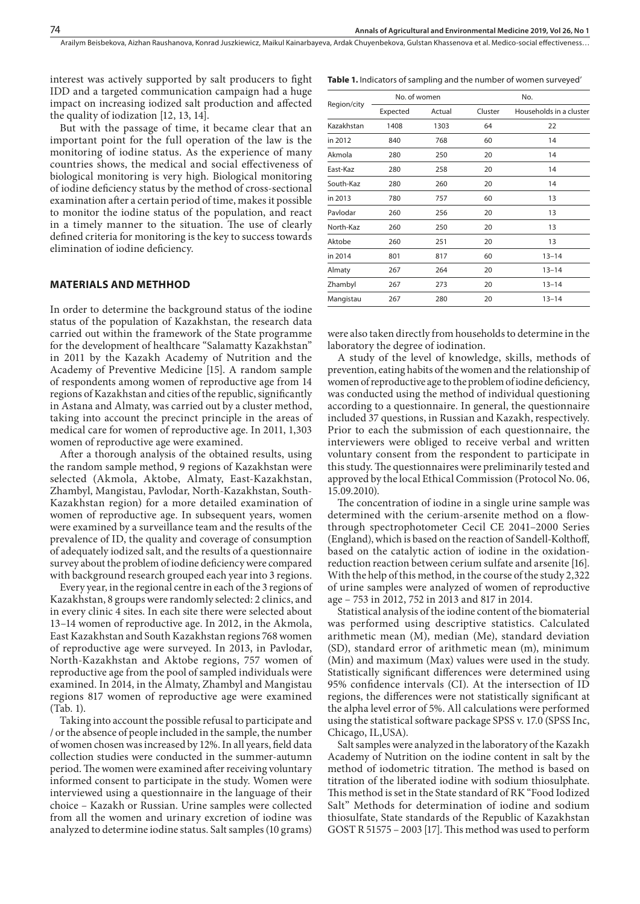Arailym Beisbekova, Aizhan Raushanova, Konrad Juszkiewicz, Maikul Kainarbayeva, Ardak Chuyenbekova, Gulstan Khassenova et al. Medico-social effectiveness…

interest was actively supported by salt producers to fight IDD and a targeted communication campaign had a huge impact on increasing iodized salt production and affected the quality of iodization [12, 13, 14].

But with the passage of time, it became clear that an important point for the full operation of the law is the monitoring of iodine status. As the experience of many countries shows, the medical and social effectiveness of biological monitoring is very high. Biological monitoring of iodine deficiency status by the method of cross-sectional examination after a certain period of time, makes it possible to monitor the iodine status of the population, and react in a timely manner to the situation. The use of clearly defined criteria for monitoring is the key to success towards elimination of iodine deficiency.

#### **MATERIALS AND METHHOD**

In order to determine the background status of the iodine status of the population of Kazakhstan, the research data carried out within the framework of the State programme for the development of healthcare "Salamatty Kazakhstan" in 2011 by the Kazakh Academy of Nutrition and the Academy of Preventive Medicine [15]. A random sample of respondents among women of reproductive age from 14 regions of Kazakhstan and cities of the republic, significantly in Astana and Almaty, was carried out by a cluster method, taking into account the precinct principle in the areas of medical care for women of reproductive age. In 2011, 1,303 women of reproductive age were examined.

After a thorough analysis of the obtained results, using the random sample method, 9 regions of Kazakhstan were selected (Akmola, Aktobe, Almaty, East-Kazakhstan, Zhambyl, Mangistau, Pavlodar, North-Kazakhstan, South-Kazakhstan region) for a more detailed examination of women of reproductive age. In subsequent years, women were examined by a surveillance team and the results of the prevalence of ID, the quality and coverage of consumption of adequately iodized salt, and the results of a questionnaire survey about the problem of iodine deficiency were compared with background research grouped each year into 3 regions.

Every year, in the regional centre in each of the 3 regions of Kazakhstan, 8 groups were randomly selected: 2 clinics, and in every clinic 4 sites. In each site there were selected about 13–14 women of reproductive age. In 2012, in the Akmola, East Kazakhstan and South Kazakhstan regions 768 women of reproductive age were surveyed. In 2013, in Pavlodar, North-Kazakhstan and Aktobe regions, 757 women of reproductive age from the pool of sampled individuals were examined. In 2014, in the Almaty, Zhambyl and Mangistau regions 817 women of reproductive age were examined (Tab. 1).

Taking into account the possible refusal to participate and / or the absence of people included in the sample, the number of women chosen was increased by 12%. In all years, field data collection studies were conducted in the summer-autumn period. The women were examined after receiving voluntary informed consent to participate in the study. Women were interviewed using a questionnaire in the language of their choice – Kazakh or Russian. Urine samples were collected from all the women and urinary excretion of iodine was analyzed to determine iodine status. Salt samples (10 grams)

| Region/city | No. of women |        | No.     |                         |  |
|-------------|--------------|--------|---------|-------------------------|--|
|             | Expected     | Actual | Cluster | Households in a cluster |  |
| Kazakhstan  | 1408         | 1303   | 64      | 22                      |  |
| in 2012     | 840          | 768    | 60      | 14                      |  |
| Akmola      | 280          | 250    | 20      | 14                      |  |
| East-Kaz    | 280          | 258    | 20      | 14                      |  |
| South-Kaz   | 280          | 260    | 20      | 14                      |  |
| in 2013     | 780          | 757    | 60      | 13                      |  |
| Pavlodar    | 260          | 256    | 20      | 13                      |  |
| North-Kaz   | 260          | 250    | 20      | 13                      |  |
| Aktobe      | 260          | 251    | 20      | 13                      |  |
| in 2014     | 801          | 817    | 60      | $13 - 14$               |  |
| Almaty      | 267          | 264    | 20      | $13 - 14$               |  |
| Zhambyl     | 267          | 273    | 20      | $13 - 14$               |  |
| Mangistau   | 267          | 280    | 20      | $13 - 14$               |  |
|             |              |        |         |                         |  |

**Table 1.** Indicators of sampling and the number of women surveyed'

were also taken directly from households to determine in the laboratory the degree of iodination.

A study of the level of knowledge, skills, methods of prevention, eating habits of the women and the relationship of women of reproductive age to the problem of iodine deficiency, was conducted using the method of individual questioning according to a questionnaire. In general, the questionnaire included 37 questions, in Russian and Kazakh, respectively. Prior to each the submission of each questionnaire, the interviewers were obliged to receive verbal and written voluntary consent from the respondent to participate in this study. The questionnaires were preliminarily tested and approved by the local Ethical Commission (Protocol No. 06, 15.09.2010).

The concentration of iodine in a single urine sample was determined with the cerium-arsenite method on a flowthrough spectrophotometer Cecil CE 2041–2000 Series (England), which is based on the reaction of Sandell-Kolthoff, based on the catalytic action of iodine in the oxidationreduction reaction between cerium sulfate and arsenite [16]. With the help of this method, in the course of the study 2,322 of urine samples were analyzed of women of reproductive age – 753 in 2012, 752 in 2013 and 817 in 2014.

Statistical analysis of the iodine content of the biomaterial was performed using descriptive statistics. Calculated arithmetic mean (M), median (Me), standard deviation (SD), standard error of arithmetic mean (m), minimum (Min) and maximum (Max) values were used in the study. Statistically significant differences were determined using 95% confidence intervals (CI). At the intersection of ID regions, the differences were not statistically significant at the alpha level error of 5%. All calculations were performed using the statistical software package SPSS v. 17.0 (SPSS Inc, Chicago, IL,USA).

Salt samples were analyzed in the laboratory of the Kazakh Academy of Nutrition on the iodine content in salt by the method of iodometric titration. The method is based on titration of the liberated iodine with sodium thiosulphate. This method is set in the State standard of RK "Food Iodized Salt" Methods for determination of iodine and sodium thiosulfate, State standards of the Republic of Kazakhstan GOST R 51575 – 2003 [17]. This method was used to perform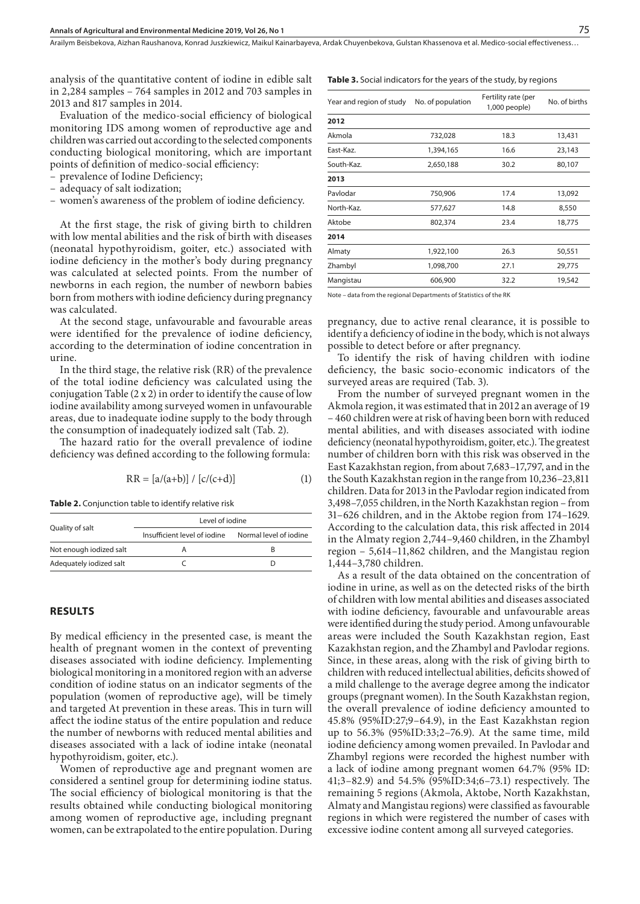Arailym Beisbekova, Aizhan Raushanova, Konrad Juszkiewicz, Maikul Kainarbayeva, Ardak Chuyenbekova, Gulstan Khassenova et al. Medico-social effectiveness…

analysis of the quantitative content of iodine in edible salt in 2,284 samples – 764 samples in 2012 and 703 samples in 2013 and 817 samples in 2014.

Evaluation of the medico-social efficiency of biological monitoring IDS among women of reproductive age and children was carried out according to the selected components conducting biological monitoring, which are important points of definition of medico-social efficiency:

- prevalence of Iodine Deficiency;
- adequacy of salt iodization;
- women's awareness of the problem of iodine deficiency.

At the first stage, the risk of giving birth to children with low mental abilities and the risk of birth with diseases (neonatal hypothyroidism, goiter, etc.) associated with iodine deficiency in the mother's body during pregnancy was calculated at selected points. From the number of newborns in each region, the number of newborn babies born from mothers with iodine deficiency during pregnancy was calculated.

At the second stage, unfavourable and favourable areas were identified for the prevalence of iodine deficiency, according to the determination of iodine concentration in urine.

In the third stage, the relative risk (RR) of the prevalence of the total iodine deficiency was calculated using the conjugation Table (2 x 2) in order to identify the cause of low iodine availability among surveyed women in unfavourable areas, due to inadequate iodine supply to the body through the consumption of inadequately iodized salt (Tab. 2).

The hazard ratio for the overall prevalence of iodine deficiency was defined according to the following formula:

$$
RR = [a/(a+b)] / [c/(c+d)] \tag{1}
$$

**Table 2.** Conjunction table to identify relative risk

|                         | Level of jodine              |                        |  |  |
|-------------------------|------------------------------|------------------------|--|--|
| Quality of salt         | Insufficient level of jodine | Normal level of jodine |  |  |
| Not enough iodized salt |                              |                        |  |  |
| Adequately iodized salt |                              |                        |  |  |

#### **RESULTS**

By medical efficiency in the presented case, is meant the health of pregnant women in the context of preventing diseases associated with iodine deficiency. Implementing biological monitoring in a monitored region with an adverse condition of iodine status on an indicator segments of the population (women of reproductive age), will be timely and targeted At prevention in these areas. This in turn will affect the iodine status of the entire population and reduce the number of newborns with reduced mental abilities and diseases associated with a lack of iodine intake (neonatal hypothyroidism, goiter, etc.).

Women of reproductive age and pregnant women are considered a sentinel group for determining iodine status. The social efficiency of biological monitoring is that the results obtained while conducting biological monitoring among women of reproductive age, including pregnant women, can be extrapolated to the entire population. During **Table 3.** Social indicators for the years of the study, by regions

| Year and region of study | No. of population | Fertility rate (per<br>1,000 people) | No. of births |  |
|--------------------------|-------------------|--------------------------------------|---------------|--|
| 2012                     |                   |                                      |               |  |
| Akmola                   | 732,028           | 18.3                                 | 13,431        |  |
| East-Kaz.                | 1,394,165         | 16.6                                 | 23,143        |  |
| South-Kaz.               | 2,650,188         | 30.2                                 | 80,107        |  |
| 2013                     |                   |                                      |               |  |
| Pavlodar                 | 750,906           | 17.4                                 | 13,092        |  |
| North-Kaz.               | 577,627           | 14.8                                 | 8,550         |  |
| Aktobe                   | 802,374           | 23.4                                 | 18,775        |  |
| 2014                     |                   |                                      |               |  |
| Almaty                   | 1,922,100         | 26.3                                 | 50,551        |  |
| Zhambyl                  | 1,098,700         | 27.1                                 | 29,775        |  |
| Mangistau                | 606,900           | 32.2                                 | 19,542        |  |
|                          |                   |                                      |               |  |

Note – data from the regional Departments of Statistics of the RK

pregnancy, due to active renal clearance, it is possible to identify a deficiency of iodine in the body, which is not always possible to detect before or after pregnancy.

To identify the risk of having children with iodine deficiency, the basic socio-economic indicators of the surveyed areas are required (Tab. 3).

From the number of surveyed pregnant women in the Akmola region, it was estimated that in 2012 an average of 19 – 460 children were at risk of having been born with reduced mental abilities, and with diseases associated with iodine deficiency (neonatal hypothyroidism, goiter, etc.). The greatest number of children born with this risk was observed in the East Kazakhstan region, from about 7,683–17,797, and in the the South Kazakhstan region in the range from 10,236–23,811 children. Data for 2013 in the Pavlodar region indicated from 3,498–7,055 children, in the North Kazakhstan region – from 31–626 children, and in the Aktobe region from 174–1629. According to the calculation data, this risk affected in 2014 in the Almaty region 2,744–9,460 children, in the Zhambyl region – 5,614–11,862 children, and the Mangistau region 1,444–3,780 children.

As a result of the data obtained on the concentration of iodine in urine, as well as on the detected risks of the birth of children with low mental abilities and diseases associated with iodine deficiency, favourable and unfavourable areas were identified during the study period. Among unfavourable areas were included the South Kazakhstan region, East Kazakhstan region, and the Zhambyl and Pavlodar regions. Since, in these areas, along with the risk of giving birth to children with reduced intellectual abilities, deficits showed of a mild challenge to the average degree among the indicator groups (pregnant women). In the South Kazakhstan region, the overall prevalence of iodine deficiency amounted to 45.8% (95%ID:27;9–64.9), in the East Kazakhstan region up to 56.3% (95%ID:33;2–76.9). At the same time, mild iodine deficiency among women prevailed. In Pavlodar and Zhambyl regions were recorded the highest number with a lack of iodine among pregnant women 64.7% (95% ID: 41;3–82.9) and 54.5% (95%ID:34;6–73.1) respectively. The remaining 5 regions (Akmola, Aktobe, North Kazakhstan, Almaty and Mangistau regions) were classified as favourable regions in which were registered the number of cases with excessive iodine content among all surveyed categories.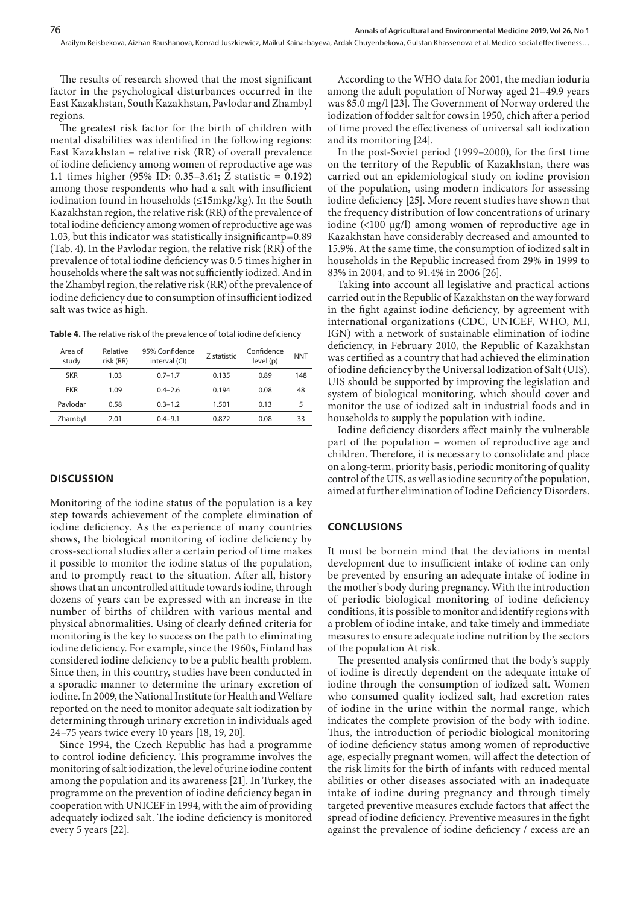The results of research showed that the most significant factor in the psychological disturbances occurred in the East Kazakhstan, South Kazakhstan, Pavlodar and Zhambyl regions.

The greatest risk factor for the birth of children with mental disabilities was identified in the following regions: East Kazakhstan – relative risk (RR) of overall prevalence of iodine deficiency among women of reproductive age was 1.1 times higher (95% ID: 0.35–3.61; Z statistic = 0.192) among those respondents who had a salt with insufficient iodination found in households (≤15mkg/kg). In the South Kazakhstan region, the relative risk (RR) of the prevalence of total iodine deficiency among women of reproductive age was 1.03, but this indicator was statistically insignificantp=0.89 (Tab. 4). In the Pavlodar region, the relative risk (RR) of the prevalence of total iodine deficiency was 0.5 times higher in households where the salt was not sufficiently iodized. And in the Zhambyl region, the relative risk (RR) of the prevalence of iodine deficiency due to consumption of insufficient iodized salt was twice as high.

**Table 4.** The relative risk of the prevalence of total iodine deficiency

| Relative<br>risk (RR) | 95% Confidence<br>interval (CI) | Z statistic | Confidence<br>level (p) | <b>NNT</b> |
|-----------------------|---------------------------------|-------------|-------------------------|------------|
| 1.03                  | $0.7 - 1.7$                     | 0.135       | 0.89                    | 148        |
| 1.09                  | $04 - 26$                       | 0.194       | 0.08                    | 48         |
| 0.58                  | $0.3 - 1.2$                     | 1.501       | 0.13                    | 5          |
| 2.01                  | $0.4 - 9.1$                     | 0.872       | 0.08                    | 33         |
|                       |                                 |             |                         |            |

#### **DISCUSSION**

Monitoring of the iodine status of the population is a key step towards achievement of the complete elimination of iodine deficiency. As the experience of many countries shows, the biological monitoring of iodine deficiency by cross-sectional studies after a certain period of time makes it possible to monitor the iodine status of the population, and to promptly react to the situation. After all, history shows that an uncontrolled attitude towards iodine, through dozens of years can be expressed with an increase in the number of births of children with various mental and physical abnormalities. Using of clearly defined criteria for monitoring is the key to success on the path to eliminating iodine deficiency. For example, since the 1960s, Finland has considered iodine deficiency to be a public health problem. Since then, in this country, studies have been conducted in a sporadic manner to determine the urinary excretion of iodine. In 2009, the National Institute for Health and Welfare reported on the need to monitor adequate salt iodization by determining through urinary excretion in individuals aged 24–75 years twice every 10 years [18, 19, 20].

Since 1994, the Czech Republic has had a programme to control iodine deficiency. This programme involves the monitoring of salt iodization, the level of urine iodine content among the population and its awareness [21]. In Turkey, the programme on the prevention of iodine deficiency began in cooperation with UNICEF in 1994, with the aim of providing adequately iodized salt. The iodine deficiency is monitored every 5 years [22].

According to the WHO data for 2001, the median ioduria among the adult population of Norway aged 21–49.9 years was 85.0 mg/l [23]. The Government of Norway ordered the iodization of fodder salt for cows in 1950, chich after a period of time proved the effectiveness of universal salt iodization and its monitoring [24].

In the post-Soviet period (1999–2000), for the first time on the territory of the Republic of Kazakhstan, there was carried out an epidemiological study on iodine provision of the population, using modern indicators for assessing iodine deficiency [25]. More recent studies have shown that the frequency distribution of low concentrations of urinary iodine  $\langle$ 100  $\mu$ g/l) among women of reproductive age in Kazakhstan have considerably decreased and amounted to 15.9%. At the same time, the consumption of iodized salt in households in the Republic increased from 29% in 1999 to 83% in 2004, and to 91.4% in 2006 [26].

Taking into account all legislative and practical actions carried out in the Republic of Kazakhstan on the way forward in the fight against iodine deficiency, by agreement with international organizations (CDC, UNICEF, WHO, MI, IGN) with a network of sustainable elimination of iodine deficiency, in February 2010, the Republic of Kazakhstan was certified as a country that had achieved the elimination of iodine deficiency by the Universal Iodization of Salt (UIS). UIS should be supported by improving the legislation and system of biological monitoring, which should cover and monitor the use of iodized salt in industrial foods and in households to supply the population with iodine.

Iodine deficiency disorders affect mainly the vulnerable part of the population – women of reproductive age and children. Therefore, it is necessary to consolidate and place on a long-term, priority basis, periodic monitoring of quality control of the UIS, as well as iodine security of the population, aimed at further elimination of Iodine Deficiency Disorders.

#### **CONCLUSIONS**

It must be bornein mind that the deviations in mental development due to insufficient intake of iodine can only be prevented by ensuring an adequate intake of iodine in the mother's body during pregnancy. With the introduction of periodic biological monitoring of iodine deficiency conditions, it is possible to monitor and identify regions with a problem of iodine intake, and take timely and immediate measures to ensure adequate iodine nutrition by the sectors of the population At risk.

The presented analysis confirmed that the body's supply of iodine is directly dependent on the adequate intake of iodine through the consumption of iodized salt. Women who consumed quality iodized salt, had excretion rates of iodine in the urine within the normal range, which indicates the complete provision of the body with iodine. Thus, the introduction of periodic biological monitoring of iodine deficiency status among women of reproductive age, especially pregnant women, will affect the detection of the risk limits for the birth of infants with reduced mental abilities or other diseases associated with an inadequate intake of iodine during pregnancy and through timely targeted preventive measures exclude factors that affect the spread of iodine deficiency. Preventive measures in the fight against the prevalence of iodine deficiency / excess are an